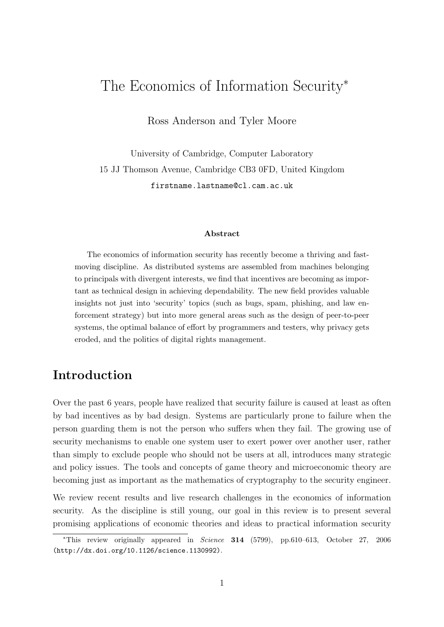## The Economics of Information Security<sup>\*</sup>

Ross Anderson and Tyler Moore

University of Cambridge, Computer Laboratory 15 JJ Thomson Avenue, Cambridge CB3 0FD, United Kingdom firstname.lastname@cl.cam.ac.uk

#### Abstract

The economics of information security has recently become a thriving and fastmoving discipline. As distributed systems are assembled from machines belonging to principals with divergent interests, we find that incentives are becoming as important as technical design in achieving dependability. The new field provides valuable insights not just into 'security' topics (such as bugs, spam, phishing, and law enforcement strategy) but into more general areas such as the design of peer-to-peer systems, the optimal balance of effort by programmers and testers, why privacy gets eroded, and the politics of digital rights management.

#### Introduction

Over the past 6 years, people have realized that security failure is caused at least as often by bad incentives as by bad design. Systems are particularly prone to failure when the person guarding them is not the person who suffers when they fail. The growing use of security mechanisms to enable one system user to exert power over another user, rather than simply to exclude people who should not be users at all, introduces many strategic and policy issues. The tools and concepts of game theory and microeconomic theory are becoming just as important as the mathematics of cryptography to the security engineer.

We review recent results and live research challenges in the economics of information security. As the discipline is still young, our goal in this review is to present several promising applications of economic theories and ideas to practical information security

<sup>∗</sup>This review originally appeared in Science 314 (5799), pp.610–613, October 27, 2006 (http://dx.doi.org/10.1126/science.1130992).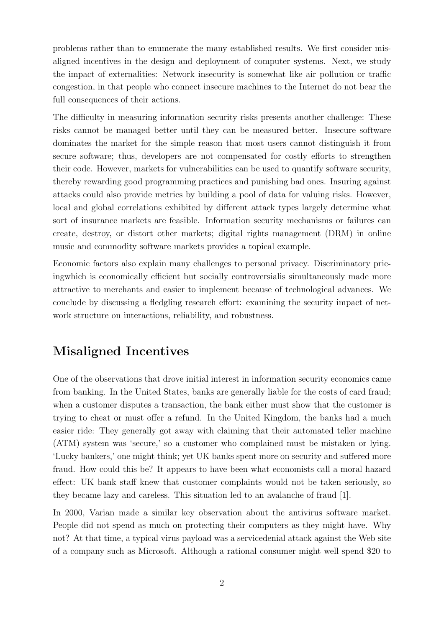problems rather than to enumerate the many established results. We first consider misaligned incentives in the design and deployment of computer systems. Next, we study the impact of externalities: Network insecurity is somewhat like air pollution or traffic congestion, in that people who connect insecure machines to the Internet do not bear the full consequences of their actions.

The difficulty in measuring information security risks presents another challenge: These risks cannot be managed better until they can be measured better. Insecure software dominates the market for the simple reason that most users cannot distinguish it from secure software; thus, developers are not compensated for costly efforts to strengthen their code. However, markets for vulnerabilities can be used to quantify software security, thereby rewarding good programming practices and punishing bad ones. Insuring against attacks could also provide metrics by building a pool of data for valuing risks. However, local and global correlations exhibited by different attack types largely determine what sort of insurance markets are feasible. Information security mechanisms or failures can create, destroy, or distort other markets; digital rights management (DRM) in online music and commodity software markets provides a topical example.

Economic factors also explain many challenges to personal privacy. Discriminatory pricingwhich is economically efficient but socially controversialis simultaneously made more attractive to merchants and easier to implement because of technological advances. We conclude by discussing a fledgling research effort: examining the security impact of network structure on interactions, reliability, and robustness.

### Misaligned Incentives

One of the observations that drove initial interest in information security economics came from banking. In the United States, banks are generally liable for the costs of card fraud; when a customer disputes a transaction, the bank either must show that the customer is trying to cheat or must offer a refund. In the United Kingdom, the banks had a much easier ride: They generally got away with claiming that their automated teller machine (ATM) system was 'secure,' so a customer who complained must be mistaken or lying. 'Lucky bankers,' one might think; yet UK banks spent more on security and suffered more fraud. How could this be? It appears to have been what economists call a moral hazard effect: UK bank staff knew that customer complaints would not be taken seriously, so they became lazy and careless. This situation led to an avalanche of fraud [1].

In 2000, Varian made a similar key observation about the antivirus software market. People did not spend as much on protecting their computers as they might have. Why not? At that time, a typical virus payload was a servicedenial attack against the Web site of a company such as Microsoft. Although a rational consumer might well spend \$20 to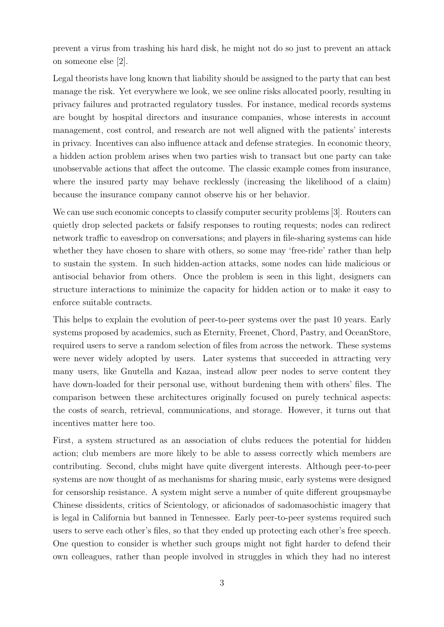prevent a virus from trashing his hard disk, he might not do so just to prevent an attack on someone else [2].

Legal theorists have long known that liability should be assigned to the party that can best manage the risk. Yet everywhere we look, we see online risks allocated poorly, resulting in privacy failures and protracted regulatory tussles. For instance, medical records systems are bought by hospital directors and insurance companies, whose interests in account management, cost control, and research are not well aligned with the patients' interests in privacy. Incentives can also influence attack and defense strategies. In economic theory, a hidden action problem arises when two parties wish to transact but one party can take unobservable actions that affect the outcome. The classic example comes from insurance, where the insured party may behave recklessly (increasing the likelihood of a claim) because the insurance company cannot observe his or her behavior.

We can use such economic concepts to classify computer security problems [3]. Routers can quietly drop selected packets or falsify responses to routing requests; nodes can redirect network traffic to eavesdrop on conversations; and players in file-sharing systems can hide whether they have chosen to share with others, so some may 'free-ride' rather than help to sustain the system. In such hidden-action attacks, some nodes can hide malicious or antisocial behavior from others. Once the problem is seen in this light, designers can structure interactions to minimize the capacity for hidden action or to make it easy to enforce suitable contracts.

This helps to explain the evolution of peer-to-peer systems over the past 10 years. Early systems proposed by academics, such as Eternity, Freenet, Chord, Pastry, and OceanStore, required users to serve a random selection of files from across the network. These systems were never widely adopted by users. Later systems that succeeded in attracting very many users, like Gnutella and Kazaa, instead allow peer nodes to serve content they have down-loaded for their personal use, without burdening them with others' files. The comparison between these architectures originally focused on purely technical aspects: the costs of search, retrieval, communications, and storage. However, it turns out that incentives matter here too.

First, a system structured as an association of clubs reduces the potential for hidden action; club members are more likely to be able to assess correctly which members are contributing. Second, clubs might have quite divergent interests. Although peer-to-peer systems are now thought of as mechanisms for sharing music, early systems were designed for censorship resistance. A system might serve a number of quite different groupsmaybe Chinese dissidents, critics of Scientology, or aficionados of sadomasochistic imagery that is legal in California but banned in Tennessee. Early peer-to-peer systems required such users to serve each other's files, so that they ended up protecting each other's free speech. One question to consider is whether such groups might not fight harder to defend their own colleagues, rather than people involved in struggles in which they had no interest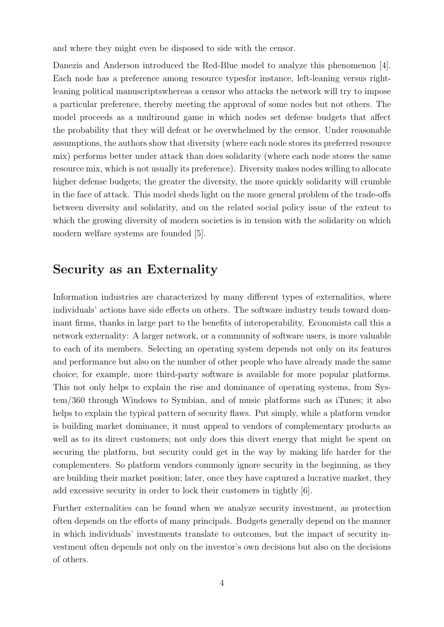and where they might even be disposed to side with the censor.

Danezis and Anderson introduced the Red-Blue model to analyze this phenomenon [4]. Each node has a preference among resource typesfor instance, left-leaning versus rightleaning political manuscriptswhereas a censor who attacks the network will try to impose a particular preference, thereby meeting the approval of some nodes but not others. The model proceeds as a multiround game in which nodes set defense budgets that affect the probability that they will defeat or be overwhelmed by the censor. Under reasonable assumptions, the authors show that diversity (where each node stores its preferred resource mix) performs better under attack than does solidarity (where each node stores the same resource mix, which is not usually its preference). Diversity makes nodes willing to allocate higher defense budgets; the greater the diversity, the more quickly solidarity will crumble in the face of attack. This model sheds light on the more general problem of the trade-offs between diversity and solidarity, and on the related social policy issue of the extent to which the growing diversity of modern societies is in tension with the solidarity on which modern welfare systems are founded [5].

#### Security as an Externality

Information industries are characterized by many different types of externalities, where individuals' actions have side effects on others. The software industry tends toward dominant firms, thanks in large part to the benefits of interoperability. Economists call this a network externality: A larger network, or a community of software users, is more valuable to each of its members. Selecting an operating system depends not only on its features and performance but also on the number of other people who have already made the same choice; for example, more third-party software is available for more popular platforms. This not only helps to explain the rise and dominance of operating systems, from System/360 through Windows to Symbian, and of music platforms such as iTunes; it also helps to explain the typical pattern of security flaws. Put simply, while a platform vendor is building market dominance, it must appeal to vendors of complementary products as well as to its direct customers; not only does this divert energy that might be spent on securing the platform, but security could get in the way by making life harder for the complementers. So platform vendors commonly ignore security in the beginning, as they are building their market position; later, once they have captured a lucrative market, they add excessive security in order to lock their customers in tightly [6].

Further externalities can be found when we analyze security investment, as protection often depends on the efforts of many principals. Budgets generally depend on the manner in which individuals' investments translate to outcomes, but the impact of security investment often depends not only on the investor's own decisions but also on the decisions of others.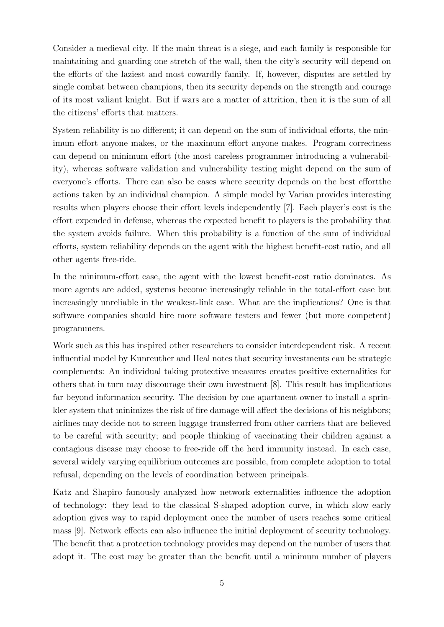Consider a medieval city. If the main threat is a siege, and each family is responsible for maintaining and guarding one stretch of the wall, then the city's security will depend on the efforts of the laziest and most cowardly family. If, however, disputes are settled by single combat between champions, then its security depends on the strength and courage of its most valiant knight. But if wars are a matter of attrition, then it is the sum of all the citizens' efforts that matters.

System reliability is no different; it can depend on the sum of individual efforts, the minimum effort anyone makes, or the maximum effort anyone makes. Program correctness can depend on minimum effort (the most careless programmer introducing a vulnerability), whereas software validation and vulnerability testing might depend on the sum of everyone's efforts. There can also be cases where security depends on the best effortthe actions taken by an individual champion. A simple model by Varian provides interesting results when players choose their effort levels independently [7]. Each player's cost is the effort expended in defense, whereas the expected benefit to players is the probability that the system avoids failure. When this probability is a function of the sum of individual efforts, system reliability depends on the agent with the highest benefit-cost ratio, and all other agents free-ride.

In the minimum-effort case, the agent with the lowest benefit-cost ratio dominates. As more agents are added, systems become increasingly reliable in the total-effort case but increasingly unreliable in the weakest-link case. What are the implications? One is that software companies should hire more software testers and fewer (but more competent) programmers.

Work such as this has inspired other researchers to consider interdependent risk. A recent influential model by Kunreuther and Heal notes that security investments can be strategic complements: An individual taking protective measures creates positive externalities for others that in turn may discourage their own investment [8]. This result has implications far beyond information security. The decision by one apartment owner to install a sprinkler system that minimizes the risk of fire damage will affect the decisions of his neighbors; airlines may decide not to screen luggage transferred from other carriers that are believed to be careful with security; and people thinking of vaccinating their children against a contagious disease may choose to free-ride off the herd immunity instead. In each case, several widely varying equilibrium outcomes are possible, from complete adoption to total refusal, depending on the levels of coordination between principals.

Katz and Shapiro famously analyzed how network externalities influence the adoption of technology: they lead to the classical S-shaped adoption curve, in which slow early adoption gives way to rapid deployment once the number of users reaches some critical mass [9]. Network effects can also influence the initial deployment of security technology. The benefit that a protection technology provides may depend on the number of users that adopt it. The cost may be greater than the benefit until a minimum number of players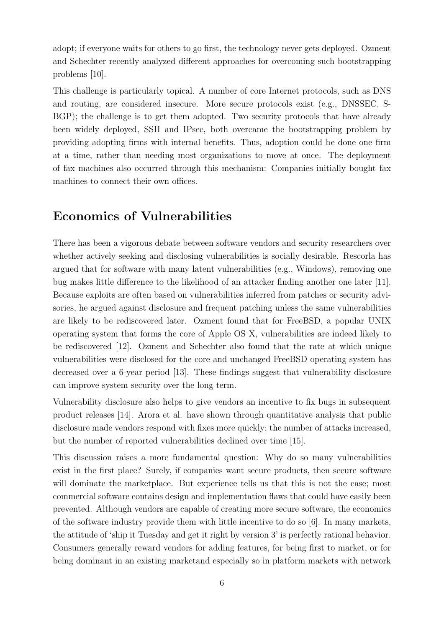adopt; if everyone waits for others to go first, the technology never gets deployed. Ozment and Schechter recently analyzed different approaches for overcoming such bootstrapping problems [10].

This challenge is particularly topical. A number of core Internet protocols, such as DNS and routing, are considered insecure. More secure protocols exist (e.g., DNSSEC, S-BGP); the challenge is to get them adopted. Two security protocols that have already been widely deployed, SSH and IPsec, both overcame the bootstrapping problem by providing adopting firms with internal benefits. Thus, adoption could be done one firm at a time, rather than needing most organizations to move at once. The deployment of fax machines also occurred through this mechanism: Companies initially bought fax machines to connect their own offices.

#### Economics of Vulnerabilities

There has been a vigorous debate between software vendors and security researchers over whether actively seeking and disclosing vulnerabilities is socially desirable. Rescorla has argued that for software with many latent vulnerabilities (e.g., Windows), removing one bug makes little difference to the likelihood of an attacker finding another one later [11]. Because exploits are often based on vulnerabilities inferred from patches or security advisories, he argued against disclosure and frequent patching unless the same vulnerabilities are likely to be rediscovered later. Ozment found that for FreeBSD, a popular UNIX operating system that forms the core of Apple OS X, vulnerabilities are indeed likely to be rediscovered [12]. Ozment and Schechter also found that the rate at which unique vulnerabilities were disclosed for the core and unchanged FreeBSD operating system has decreased over a 6-year period [13]. These findings suggest that vulnerability disclosure can improve system security over the long term.

Vulnerability disclosure also helps to give vendors an incentive to fix bugs in subsequent product releases [14]. Arora et al. have shown through quantitative analysis that public disclosure made vendors respond with fixes more quickly; the number of attacks increased, but the number of reported vulnerabilities declined over time [15].

This discussion raises a more fundamental question: Why do so many vulnerabilities exist in the first place? Surely, if companies want secure products, then secure software will dominate the marketplace. But experience tells us that this is not the case; most commercial software contains design and implementation flaws that could have easily been prevented. Although vendors are capable of creating more secure software, the economics of the software industry provide them with little incentive to do so [6]. In many markets, the attitude of 'ship it Tuesday and get it right by version 3' is perfectly rational behavior. Consumers generally reward vendors for adding features, for being first to market, or for being dominant in an existing marketand especially so in platform markets with network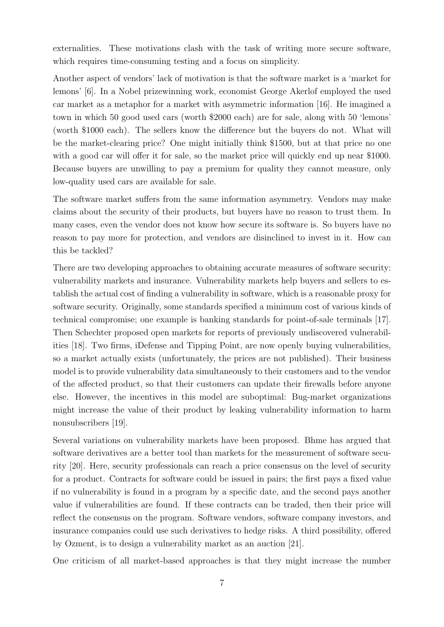externalities. These motivations clash with the task of writing more secure software, which requires time-consuming testing and a focus on simplicity.

Another aspect of vendors' lack of motivation is that the software market is a 'market for lemons' [6]. In a Nobel prizewinning work, economist George Akerlof employed the used car market as a metaphor for a market with asymmetric information [16]. He imagined a town in which 50 good used cars (worth \$2000 each) are for sale, along with 50 'lemons' (worth \$1000 each). The sellers know the difference but the buyers do not. What will be the market-clearing price? One might initially think \$1500, but at that price no one with a good car will offer it for sale, so the market price will quickly end up near \$1000. Because buyers are unwilling to pay a premium for quality they cannot measure, only low-quality used cars are available for sale.

The software market suffers from the same information asymmetry. Vendors may make claims about the security of their products, but buyers have no reason to trust them. In many cases, even the vendor does not know how secure its software is. So buyers have no reason to pay more for protection, and vendors are disinclined to invest in it. How can this be tackled?

There are two developing approaches to obtaining accurate measures of software security: vulnerability markets and insurance. Vulnerability markets help buyers and sellers to establish the actual cost of finding a vulnerability in software, which is a reasonable proxy for software security. Originally, some standards specified a minimum cost of various kinds of technical compromise; one example is banking standards for point-of-sale terminals [17]. Then Schechter proposed open markets for reports of previously undiscovered vulnerabilities [18]. Two firms, iDefense and Tipping Point, are now openly buying vulnerabilities, so a market actually exists (unfortunately, the prices are not published). Their business model is to provide vulnerability data simultaneously to their customers and to the vendor of the affected product, so that their customers can update their firewalls before anyone else. However, the incentives in this model are suboptimal: Bug-market organizations might increase the value of their product by leaking vulnerability information to harm nonsubscribers [19].

Several variations on vulnerability markets have been proposed. Bhme has argued that software derivatives are a better tool than markets for the measurement of software security [20]. Here, security professionals can reach a price consensus on the level of security for a product. Contracts for software could be issued in pairs; the first pays a fixed value if no vulnerability is found in a program by a specific date, and the second pays another value if vulnerabilities are found. If these contracts can be traded, then their price will reflect the consensus on the program. Software vendors, software company investors, and insurance companies could use such derivatives to hedge risks. A third possibility, offered by Ozment, is to design a vulnerability market as an auction [21].

One criticism of all market-based approaches is that they might increase the number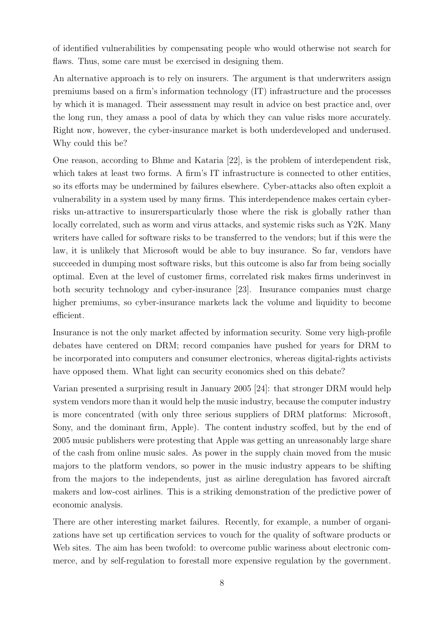of identified vulnerabilities by compensating people who would otherwise not search for flaws. Thus, some care must be exercised in designing them.

An alternative approach is to rely on insurers. The argument is that underwriters assign premiums based on a firm's information technology (IT) infrastructure and the processes by which it is managed. Their assessment may result in advice on best practice and, over the long run, they amass a pool of data by which they can value risks more accurately. Right now, however, the cyber-insurance market is both underdeveloped and underused. Why could this be?

One reason, according to Bhme and Kataria [22], is the problem of interdependent risk, which takes at least two forms. A firm's IT infrastructure is connected to other entities, so its efforts may be undermined by failures elsewhere. Cyber-attacks also often exploit a vulnerability in a system used by many firms. This interdependence makes certain cyberrisks un-attractive to insurersparticularly those where the risk is globally rather than locally correlated, such as worm and virus attacks, and systemic risks such as Y2K. Many writers have called for software risks to be transferred to the vendors; but if this were the law, it is unlikely that Microsoft would be able to buy insurance. So far, vendors have succeeded in dumping most software risks, but this outcome is also far from being socially optimal. Even at the level of customer firms, correlated risk makes firms underinvest in both security technology and cyber-insurance [23]. Insurance companies must charge higher premiums, so cyber-insurance markets lack the volume and liquidity to become efficient.

Insurance is not the only market affected by information security. Some very high-profile debates have centered on DRM; record companies have pushed for years for DRM to be incorporated into computers and consumer electronics, whereas digital-rights activists have opposed them. What light can security economics shed on this debate?

Varian presented a surprising result in January 2005 [24]: that stronger DRM would help system vendors more than it would help the music industry, because the computer industry is more concentrated (with only three serious suppliers of DRM platforms: Microsoft, Sony, and the dominant firm, Apple). The content industry scoffed, but by the end of 2005 music publishers were protesting that Apple was getting an unreasonably large share of the cash from online music sales. As power in the supply chain moved from the music majors to the platform vendors, so power in the music industry appears to be shifting from the majors to the independents, just as airline deregulation has favored aircraft makers and low-cost airlines. This is a striking demonstration of the predictive power of economic analysis.

There are other interesting market failures. Recently, for example, a number of organizations have set up certification services to vouch for the quality of software products or Web sites. The aim has been twofold: to overcome public wariness about electronic commerce, and by self-regulation to forestall more expensive regulation by the government.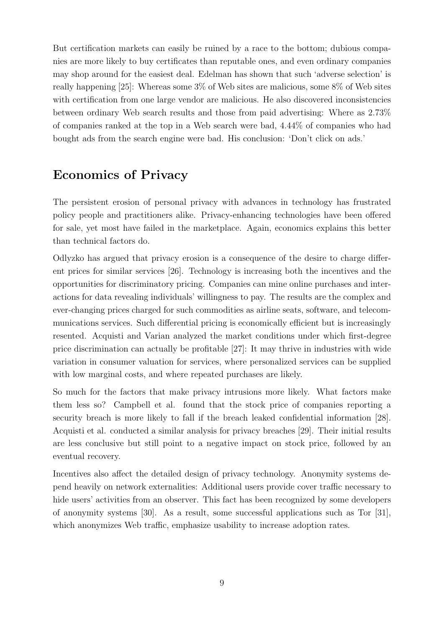But certification markets can easily be ruined by a race to the bottom; dubious companies are more likely to buy certificates than reputable ones, and even ordinary companies may shop around for the easiest deal. Edelman has shown that such 'adverse selection' is really happening [25]: Whereas some 3% of Web sites are malicious, some 8% of Web sites with certification from one large vendor are malicious. He also discovered inconsistencies between ordinary Web search results and those from paid advertising: Where as 2.73% of companies ranked at the top in a Web search were bad, 4.44% of companies who had bought ads from the search engine were bad. His conclusion: 'Don't click on ads.'

#### Economics of Privacy

The persistent erosion of personal privacy with advances in technology has frustrated policy people and practitioners alike. Privacy-enhancing technologies have been offered for sale, yet most have failed in the marketplace. Again, economics explains this better than technical factors do.

Odlyzko has argued that privacy erosion is a consequence of the desire to charge different prices for similar services [26]. Technology is increasing both the incentives and the opportunities for discriminatory pricing. Companies can mine online purchases and interactions for data revealing individuals' willingness to pay. The results are the complex and ever-changing prices charged for such commodities as airline seats, software, and telecommunications services. Such differential pricing is economically efficient but is increasingly resented. Acquisti and Varian analyzed the market conditions under which first-degree price discrimination can actually be profitable [27]: It may thrive in industries with wide variation in consumer valuation for services, where personalized services can be supplied with low marginal costs, and where repeated purchases are likely.

So much for the factors that make privacy intrusions more likely. What factors make them less so? Campbell et al. found that the stock price of companies reporting a security breach is more likely to fall if the breach leaked confidential information [28]. Acquisti et al. conducted a similar analysis for privacy breaches [29]. Their initial results are less conclusive but still point to a negative impact on stock price, followed by an eventual recovery.

Incentives also affect the detailed design of privacy technology. Anonymity systems depend heavily on network externalities: Additional users provide cover traffic necessary to hide users' activities from an observer. This fact has been recognized by some developers of anonymity systems [30]. As a result, some successful applications such as Tor [31], which anonymizes Web traffic, emphasize usability to increase adoption rates.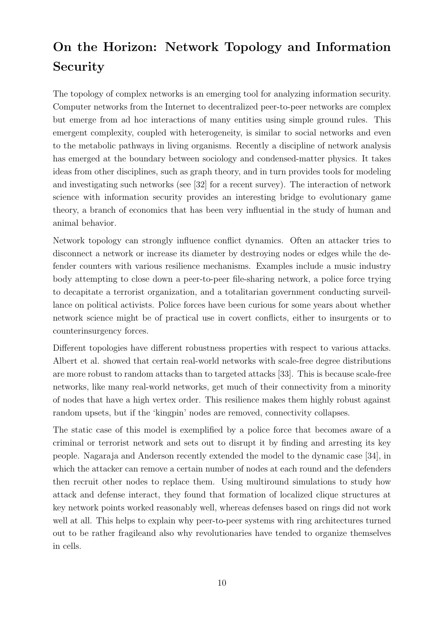# On the Horizon: Network Topology and Information **Security**

The topology of complex networks is an emerging tool for analyzing information security. Computer networks from the Internet to decentralized peer-to-peer networks are complex but emerge from ad hoc interactions of many entities using simple ground rules. This emergent complexity, coupled with heterogeneity, is similar to social networks and even to the metabolic pathways in living organisms. Recently a discipline of network analysis has emerged at the boundary between sociology and condensed-matter physics. It takes ideas from other disciplines, such as graph theory, and in turn provides tools for modeling and investigating such networks (see [32] for a recent survey). The interaction of network science with information security provides an interesting bridge to evolutionary game theory, a branch of economics that has been very influential in the study of human and animal behavior.

Network topology can strongly influence conflict dynamics. Often an attacker tries to disconnect a network or increase its diameter by destroying nodes or edges while the defender counters with various resilience mechanisms. Examples include a music industry body attempting to close down a peer-to-peer file-sharing network, a police force trying to decapitate a terrorist organization, and a totalitarian government conducting surveillance on political activists. Police forces have been curious for some years about whether network science might be of practical use in covert conflicts, either to insurgents or to counterinsurgency forces.

Different topologies have different robustness properties with respect to various attacks. Albert et al. showed that certain real-world networks with scale-free degree distributions are more robust to random attacks than to targeted attacks [33]. This is because scale-free networks, like many real-world networks, get much of their connectivity from a minority of nodes that have a high vertex order. This resilience makes them highly robust against random upsets, but if the 'kingpin' nodes are removed, connectivity collapses.

The static case of this model is exemplified by a police force that becomes aware of a criminal or terrorist network and sets out to disrupt it by finding and arresting its key people. Nagaraja and Anderson recently extended the model to the dynamic case [34], in which the attacker can remove a certain number of nodes at each round and the defenders then recruit other nodes to replace them. Using multiround simulations to study how attack and defense interact, they found that formation of localized clique structures at key network points worked reasonably well, whereas defenses based on rings did not work well at all. This helps to explain why peer-to-peer systems with ring architectures turned out to be rather fragileand also why revolutionaries have tended to organize themselves in cells.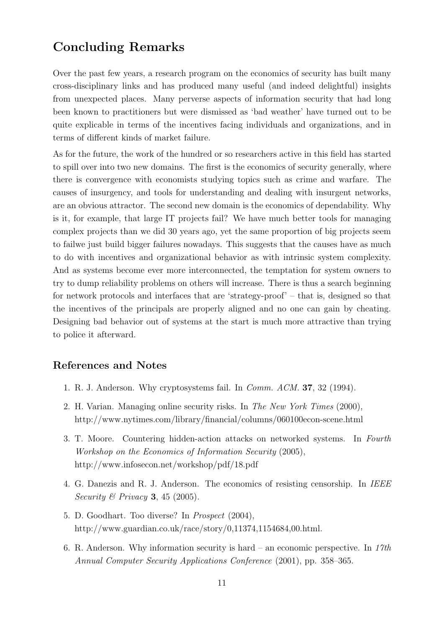#### Concluding Remarks

Over the past few years, a research program on the economics of security has built many cross-disciplinary links and has produced many useful (and indeed delightful) insights from unexpected places. Many perverse aspects of information security that had long been known to practitioners but were dismissed as 'bad weather' have turned out to be quite explicable in terms of the incentives facing individuals and organizations, and in terms of different kinds of market failure.

As for the future, the work of the hundred or so researchers active in this field has started to spill over into two new domains. The first is the economics of security generally, where there is convergence with economists studying topics such as crime and warfare. The causes of insurgency, and tools for understanding and dealing with insurgent networks, are an obvious attractor. The second new domain is the economics of dependability. Why is it, for example, that large IT projects fail? We have much better tools for managing complex projects than we did 30 years ago, yet the same proportion of big projects seem to failwe just build bigger failures nowadays. This suggests that the causes have as much to do with incentives and organizational behavior as with intrinsic system complexity. And as systems become ever more interconnected, the temptation for system owners to try to dump reliability problems on others will increase. There is thus a search beginning for network protocols and interfaces that are 'strategy-proof' – that is, designed so that the incentives of the principals are properly aligned and no one can gain by cheating. Designing bad behavior out of systems at the start is much more attractive than trying to police it afterward.

#### References and Notes

- 1. R. J. Anderson. Why cryptosystems fail. In Comm. ACM. 37, 32 (1994).
- 2. H. Varian. Managing online security risks. In The New York Times (2000), http://www.nytimes.com/library/financial/columns/060100econ-scene.html
- 3. T. Moore. Countering hidden-action attacks on networked systems. In Fourth Workshop on the Economics of Information Security (2005), http://www.infosecon.net/workshop/pdf/18.pdf
- 4. G. Danezis and R. J. Anderson. The economics of resisting censorship. In IEEE Security & Privacy 3, 45 (2005).
- 5. D. Goodhart. Too diverse? In Prospect (2004), http://www.guardian.co.uk/race/story/0,11374,1154684,00.html.
- 6. R. Anderson. Why information security is hard an economic perspective. In  $17th$ Annual Computer Security Applications Conference (2001), pp. 358–365.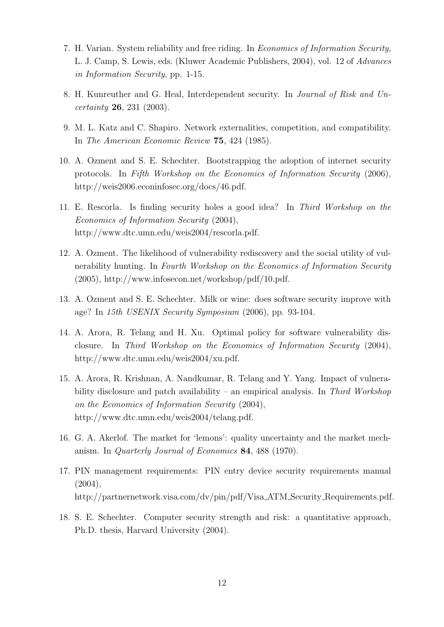- 7. H. Varian. System reliability and free riding. In Economics of Information Security, L. J. Camp, S. Lewis, eds. (Kluwer Academic Publishers, 2004), vol. 12 of Advances in Information Security, pp. 1-15.
- 8. H. Kunreuther and G. Heal, Interdependent security. In Journal of Risk and Uncertainty 26, 231 (2003).
- 9. M. L. Katz and C. Shapiro. Network externalities, competition, and compatibility. In The American Economic Review 75, 424 (1985).
- 10. A. Ozment and S. E. Schechter. Bootstrapping the adoption of internet security protocols. In Fifth Workshop on the Economics of Information Security (2006), http://weis2006.econinfosec.org/docs/46.pdf.
- 11. E. Rescorla. Is finding security holes a good idea? In Third Workshop on the Economics of Information Security (2004), http://www.dtc.umn.edu/weis2004/rescorla.pdf.
- 12. A. Ozment. The likelihood of vulnerability rediscovery and the social utility of vulnerability hunting. In Fourth Workshop on the Economics of Information Security (2005), http://www.infosecon.net/workshop/pdf/10.pdf.
- 13. A. Ozment and S. E. Schechter. Milk or wine: does software security improve with age? In 15th USENIX Security Symposium (2006), pp. 93-104.
- 14. A. Arora, R. Telang and H. Xu. Optimal policy for software vulnerability disclosure. In Third Workshop on the Economics of Information Security (2004), http://www.dtc.umn.edu/weis2004/xu.pdf.
- 15. A. Arora, R. Krishnan, A. Nandkumar, R. Telang and Y. Yang. Impact of vulnerability disclosure and patch availability – an empirical analysis. In Third Workshop on the Economics of Information Security (2004), http://www.dtc.umn.edu/weis2004/telang.pdf.
- 16. G. A. Akerlof. The market for 'lemons': quality uncertainty and the market mechanism. In Quarterly Journal of Economics 84, 488 (1970).
- 17. PIN management requirements: PIN entry device security requirements manual  $(2004),$ http://partnernetwork.visa.com/dv/pin/pdf/Visa ATM Security Requirements.pdf.
- 18. S. E. Schechter. Computer security strength and risk: a quantitative approach, Ph.D. thesis, Harvard University (2004).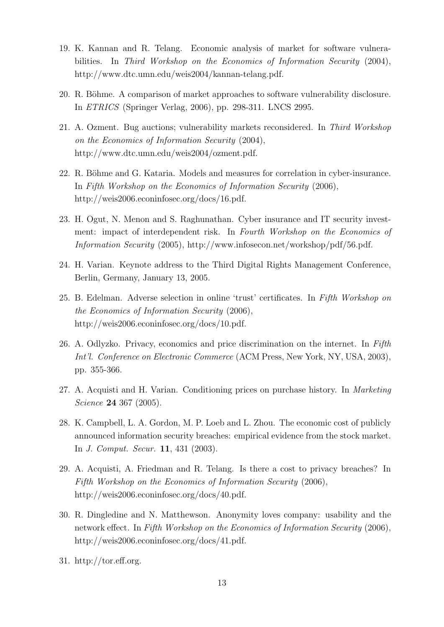- 19. K. Kannan and R. Telang. Economic analysis of market for software vulnerabilities. In Third Workshop on the Economics of Information Security (2004), http://www.dtc.umn.edu/weis2004/kannan-telang.pdf.
- 20. R. Böhme. A comparison of market approaches to software vulnerability disclosure. In ETRICS (Springer Verlag, 2006), pp. 298-311. LNCS 2995.
- 21. A. Ozment. Bug auctions; vulnerability markets reconsidered. In Third Workshop on the Economics of Information Security (2004), http://www.dtc.umn.edu/weis2004/ozment.pdf.
- 22. R. Böhme and G. Kataria. Models and measures for correlation in cyber-insurance. In Fifth Workshop on the Economics of Information Security (2006), http://weis2006.econinfosec.org/docs/16.pdf.
- 23. H. Ogut, N. Menon and S. Raghunathan. Cyber insurance and IT security investment: impact of interdependent risk. In Fourth Workshop on the Economics of Information Security (2005), http://www.infosecon.net/workshop/pdf/56.pdf.
- 24. H. Varian. Keynote address to the Third Digital Rights Management Conference, Berlin, Germany, January 13, 2005.
- 25. B. Edelman. Adverse selection in online 'trust' certificates. In Fifth Workshop on the Economics of Information Security (2006), http://weis2006.econinfosec.org/docs/10.pdf.
- 26. A. Odlyzko. Privacy, economics and price discrimination on the internet. In Fifth Int'l. Conference on Electronic Commerce (ACM Press, New York, NY, USA, 2003), pp. 355-366.
- 27. A. Acquisti and H. Varian. Conditioning prices on purchase history. In Marketing Science **24** 367 (2005).
- 28. K. Campbell, L. A. Gordon, M. P. Loeb and L. Zhou. The economic cost of publicly announced information security breaches: empirical evidence from the stock market. In J. Comput. Secur. 11, 431 (2003).
- 29. A. Acquisti, A. Friedman and R. Telang. Is there a cost to privacy breaches? In Fifth Workshop on the Economics of Information Security (2006), http://weis2006.econinfosec.org/docs/40.pdf.
- 30. R. Dingledine and N. Matthewson. Anonymity loves company: usability and the network effect. In Fifth Workshop on the Economics of Information Security (2006), http://weis2006.econinfosec.org/docs/41.pdf.
- 31. http://tor.eff.org.